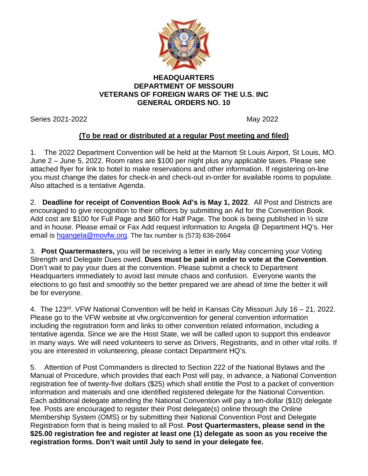

## **HEADQUARTERS DEPARTMENT OF MISSOURI VETERANS OF FOREIGN WARS OF THE U.S. INC GENERAL ORDERS NO. 10**

Series 2021-2022 May 2022

## **(To be read or distributed at a regular Post meeting and filed)**

1. The 2022 Department Convention will be held at the Marriott St Louis Airport, St Louis, MO. June 2 – June 5, 2022. Room rates are \$100 per night plus any applicable taxes. Please see attached flyer for link to hotel to make reservations and other information. If registering on-line you must change the dates for check-in and check-out in-order for available rooms to populate. Also attached is a tentative Agenda.

2. **Deadline for receipt of Convention Book Ad's is May 1, 2022**. All Post and Districts are encouraged to give recognition to their officers by submitting an Ad for the Convention Book. Add cost are \$100 for Full Page and \$60 for Half Page. The book is being published in 1/2 size and in house. Please email or Fax Add request information to Angela @ Department HQ's. Her email is [hqangela@movfw.org.](mailto:hqangela@movfw.org) The fax number is (573) 636-2664

3. **Post Quartermasters,** you will be receiving a letter in early May concerning your Voting Strength and Delegate Dues owed. **Dues must be paid in order to vote at the Convention**. Don't wait to pay your dues at the convention. Please submit a check to Department Headquarters immediately to avoid last minute chaos and confusion. Everyone wants the elections to go fast and smoothly so the better prepared we are ahead of time the better it will be for everyone.

4. The 123rd. VFW National Convention will be held in Kansas City Missouri July 16 – 21, 2022. Please go to the VFW website at vfw.org/convention for general convention information including the registration form and links to other convention related information, including a tentative agenda. Since we are the Host State, we will be called upon to support this endeavor in many ways. We will need volunteers to serve as Drivers, Registrants, and in other vital rolls. If you are interested in volunteering, please contact Department HQ's.

5. Attention of Post Commanders is directed to Section 222 of the National Bylaws and the Manual of Procedure, which provides that each Post will pay, in advance, a National Convention registration fee of twenty-five dollars (\$25) which shall entitle the Post to a packet of convention information and materials and one identified registered delegate for the National Convention. Each additional delegate attending the National Convention will pay a ten-dollar (\$10) delegate fee. Posts are encouraged to register their Post delegate(s) online through the Online Membership System (OMS) or by submitting their National Convention Post and Delegate Registration form that is being mailed to all Post. **Post Quartermasters, please send in the \$25.00 registration fee and register at least one (1) delegate as soon as you receive the registration forms. Don't wait until July to send in your delegate fee.**